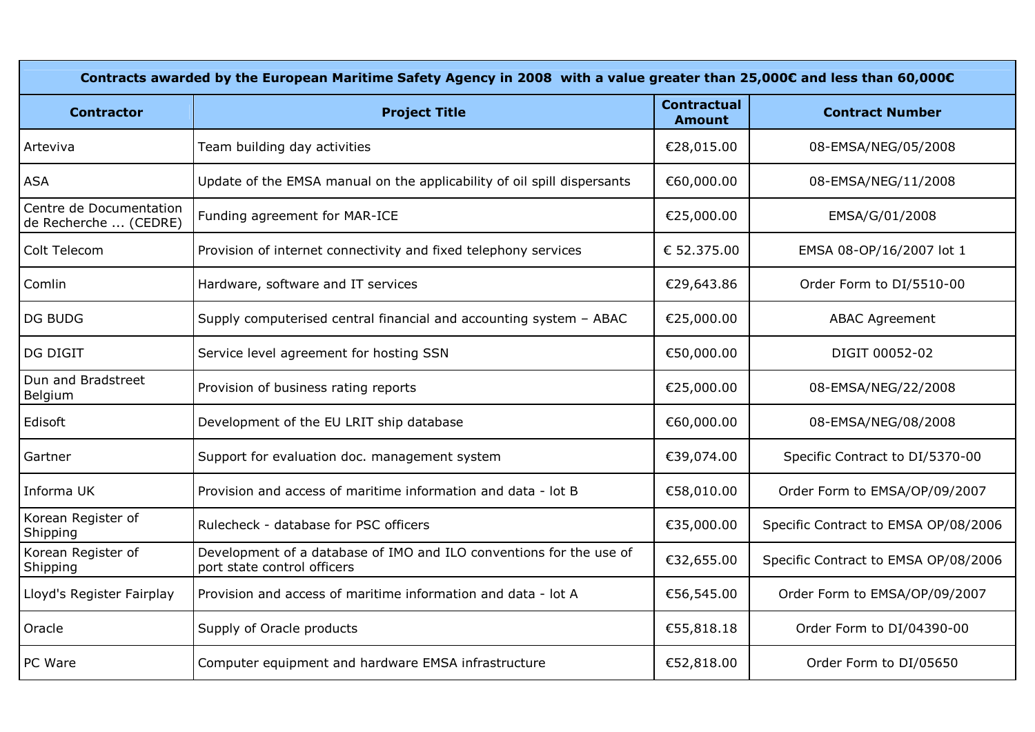| Contracts awarded by the European Maritime Safety Agency in 2008 with a value greater than 25,000€ and less than 60,000€ |                                                                                                    |                                     |                                      |  |
|--------------------------------------------------------------------------------------------------------------------------|----------------------------------------------------------------------------------------------------|-------------------------------------|--------------------------------------|--|
| <b>Contractor</b>                                                                                                        | <b>Project Title</b>                                                                               | <b>Contractual</b><br><b>Amount</b> | <b>Contract Number</b>               |  |
| Arteviva                                                                                                                 | Team building day activities                                                                       | €28,015.00                          | 08-EMSA/NEG/05/2008                  |  |
| <b>ASA</b>                                                                                                               | Update of the EMSA manual on the applicability of oil spill dispersants                            | €60,000.00                          | 08-EMSA/NEG/11/2008                  |  |
| Centre de Documentation<br>de Recherche  (CEDRE)                                                                         | Funding agreement for MAR-ICE                                                                      | €25,000.00                          | EMSA/G/01/2008                       |  |
| Colt Telecom                                                                                                             | Provision of internet connectivity and fixed telephony services                                    | € 52.375.00                         | EMSA 08-OP/16/2007 lot 1             |  |
| Comlin                                                                                                                   | Hardware, software and IT services                                                                 | €29,643.86                          | Order Form to DI/5510-00             |  |
| <b>DG BUDG</b>                                                                                                           | Supply computerised central financial and accounting system - ABAC                                 | €25,000.00                          | <b>ABAC Agreement</b>                |  |
| <b>DG DIGIT</b>                                                                                                          | Service level agreement for hosting SSN                                                            | €50,000.00                          | DIGIT 00052-02                       |  |
| Dun and Bradstreet<br>Belgium                                                                                            | Provision of business rating reports                                                               | €25,000.00                          | 08-EMSA/NEG/22/2008                  |  |
| Edisoft                                                                                                                  | Development of the EU LRIT ship database                                                           | €60,000.00                          | 08-EMSA/NEG/08/2008                  |  |
| Gartner                                                                                                                  | Support for evaluation doc. management system                                                      | €39,074.00                          | Specific Contract to DI/5370-00      |  |
| Informa UK                                                                                                               | Provision and access of maritime information and data - lot B                                      | €58,010.00                          | Order Form to EMSA/OP/09/2007        |  |
| Korean Register of<br>Shipping                                                                                           | Rulecheck - database for PSC officers                                                              | €35,000.00                          | Specific Contract to EMSA OP/08/2006 |  |
| Korean Register of<br>Shipping                                                                                           | Development of a database of IMO and ILO conventions for the use of<br>port state control officers | €32,655.00                          | Specific Contract to EMSA OP/08/2006 |  |
| Lloyd's Register Fairplay                                                                                                | Provision and access of maritime information and data - lot A                                      | €56,545.00                          | Order Form to EMSA/OP/09/2007        |  |
| Oracle                                                                                                                   | Supply of Oracle products                                                                          | €55,818.18                          | Order Form to DI/04390-00            |  |
| PC Ware                                                                                                                  | Computer equipment and hardware EMSA infrastructure                                                | €52,818.00                          | Order Form to DI/05650               |  |